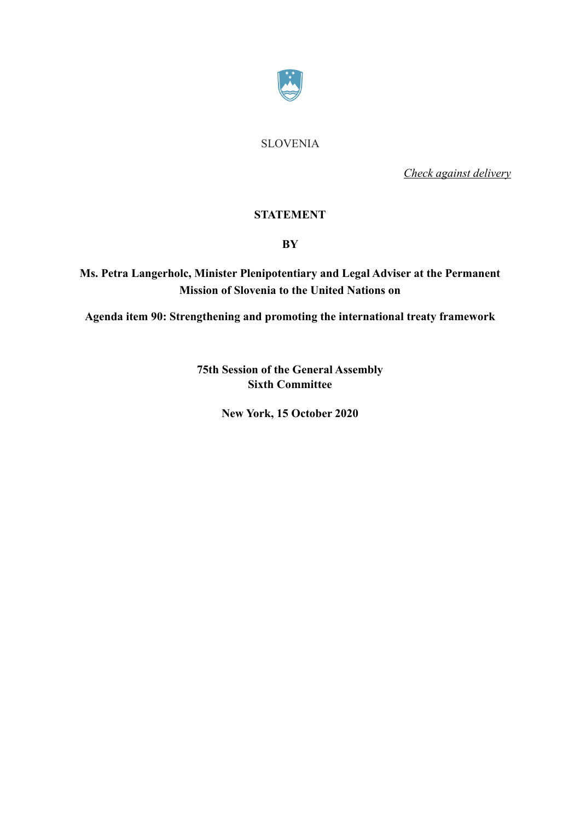

SLOVENIA

*Check against delivery* 

## **STATEMENT**

## **BY**

**Ms. Petra Langerholc, Minister Plenipotentiary and Legal Adviser at the Permanent Mission of Slovenia to the United Nations on** 

**Agenda item 90: Strengthening and promoting the international treaty framework** 

**75th Session of the General Assembly Sixth Committee** 

**New York, 15 October 2020**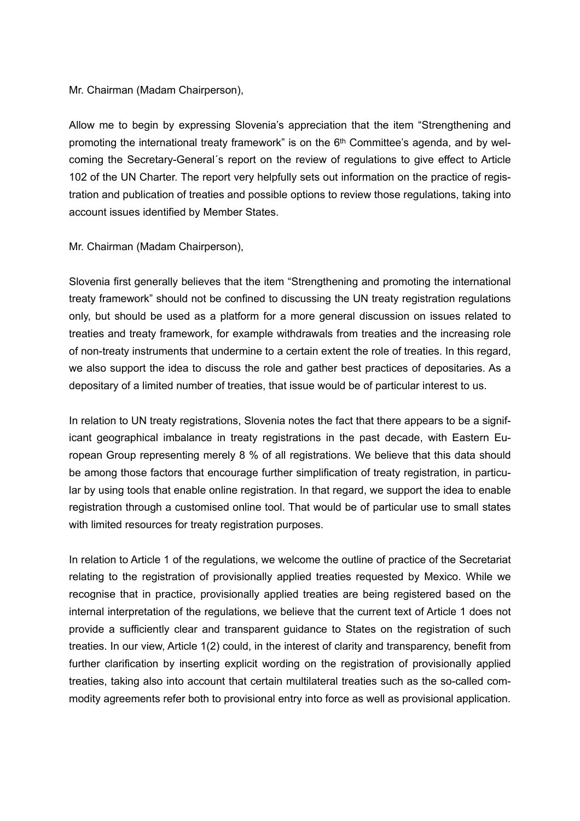## Mr. Chairman (Madam Chairperson),

Allow me to begin by expressing Slovenia's appreciation that the item "Strengthening and promoting the international treaty framework" is on the 6<sup>th</sup> Committee's agenda, and by welcoming the Secretary-General´s report on the review of regulations to give effect to Article 102 of the UN Charter. The report very helpfully sets out information on the practice of registration and publication of treaties and possible options to review those regulations, taking into account issues identified by Member States.

## Mr. Chairman (Madam Chairperson),

Slovenia first generally believes that the item "Strengthening and promoting the international treaty framework" should not be confined to discussing the UN treaty registration regulations only, but should be used as a platform for a more general discussion on issues related to treaties and treaty framework, for example withdrawals from treaties and the increasing role of non-treaty instruments that undermine to a certain extent the role of treaties. In this regard, we also support the idea to discuss the role and gather best practices of depositaries. As a depositary of a limited number of treaties, that issue would be of particular interest to us.

In relation to UN treaty registrations, Slovenia notes the fact that there appears to be a significant geographical imbalance in treaty registrations in the past decade, with Eastern European Group representing merely 8 % of all registrations. We believe that this data should be among those factors that encourage further simplification of treaty registration, in particular by using tools that enable online registration. In that regard, we support the idea to enable registration through a customised online tool. That would be of particular use to small states with limited resources for treaty registration purposes.

In relation to Article 1 of the regulations, we welcome the outline of practice of the Secretariat relating to the registration of provisionally applied treaties requested by Mexico. While we recognise that in practice, provisionally applied treaties are being registered based on the internal interpretation of the regulations, we believe that the current text of Article 1 does not provide a sufficiently clear and transparent guidance to States on the registration of such treaties. In our view, Article 1(2) could, in the interest of clarity and transparency, benefit from further clarification by inserting explicit wording on the registration of provisionally applied treaties, taking also into account that certain multilateral treaties such as the so-called commodity agreements refer both to provisional entry into force as well as provisional application.